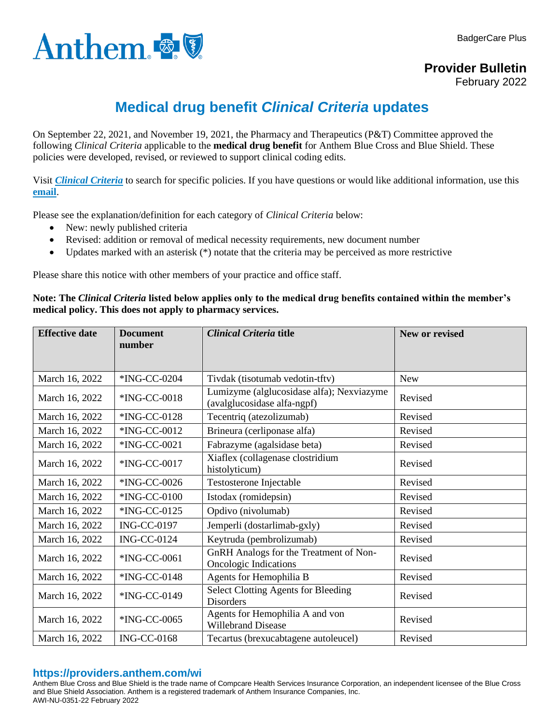



**Provider Bulletin**

February 2022

## **Medical drug benefit** *Clinical Criteria* **updates**

On September 22, 2021, and November 19, 2021, the Pharmacy and Therapeutics (P&T) Committee approved the following *Clinical Criteria* applicable to the **medical drug benefit** for Anthem Blue Cross and Blue Shield. These policies were developed, revised, or reviewed to support clinical coding edits.

Visit *[Clinical Criteria](http://www.anthem.com/pharmacyinformation/clinicalcriteria)* to search for specific policies. If you have questions or would like additional information, use this **[email](mailto:druglist@ingenio-rx.com)**.

Please see the explanation/definition for each category of *Clinical Criteria* below:

- New: newly published criteria
- Revised: addition or removal of medical necessity requirements, new document number
- Updates marked with an asterisk  $(*)$  notate that the criteria may be perceived as more restrictive

Please share this notice with other members of your practice and office staff.

## **Note: The** *Clinical Criteria* **listed below applies only to the medical drug benefits contained within the member's medical policy. This does not apply to pharmacy services.**

| <b>Effective date</b> | <b>Document</b><br>number | <b>Clinical Criteria title</b>                                           | <b>New or revised</b> |
|-----------------------|---------------------------|--------------------------------------------------------------------------|-----------------------|
|                       |                           |                                                                          |                       |
| March 16, 2022        | *ING-CC-0204              | Tivdak (tisotumab vedotin-tftv)                                          | <b>New</b>            |
| March 16, 2022        | *ING-CC-0018              | Lumizyme (alglucosidase alfa); Nexviazyme<br>(avalglucosidase alfa-ngpf) | Revised               |
| March 16, 2022        | *ING-CC-0128              | Tecentriq (atezolizumab)                                                 | Revised               |
| March 16, 2022        | *ING-CC-0012              | Brineura (cerliponase alfa)                                              | Revised               |
| March 16, 2022        | *ING-CC-0021              | Fabrazyme (agalsidase beta)                                              | Revised               |
| March 16, 2022        | *ING-CC-0017              | Xiaflex (collagenase clostridium<br>histolyticum)                        | Revised               |
| March 16, 2022        | *ING-CC-0026              | Testosterone Injectable                                                  | Revised               |
| March 16, 2022        | *ING-CC-0100              | Istodax (romidepsin)                                                     | Revised               |
| March 16, 2022        | *ING-CC-0125              | Opdivo (nivolumab)                                                       | Revised               |
| March 16, 2022        | <b>ING-CC-0197</b>        | Jemperli (dostarlimab-gxly)                                              | Revised               |
| March 16, 2022        | <b>ING-CC-0124</b>        | Keytruda (pembrolizumab)                                                 | Revised               |
| March 16, 2022        | *ING-CC-0061              | <b>GnRH</b> Analogs for the Treatment of Non-<br>Oncologic Indications   | Revised               |
| March 16, 2022        | *ING-CC-0148              | Agents for Hemophilia B                                                  | Revised               |
| March 16, 2022        | *ING-CC-0149              | <b>Select Clotting Agents for Bleeding</b><br><b>Disorders</b>           | Revised               |
| March 16, 2022        | *ING-CC-0065              | Agents for Hemophilia A and von<br><b>Willebrand Disease</b>             | Revised               |
| March 16, 2022        | <b>ING-CC-0168</b>        | Tecartus (brexucabtagene autoleucel)                                     | Revised               |

## **https://providers.anthem.com/wi**

Anthem Blue Cross and Blue Shield is the trade name of Compcare Health Services Insurance Corporation, an independent licensee of the Blue Cross and Blue Shield Association. Anthem is a registered trademark of Anthem Insurance Companies, Inc. AWI-NU-0351-22 February 2022